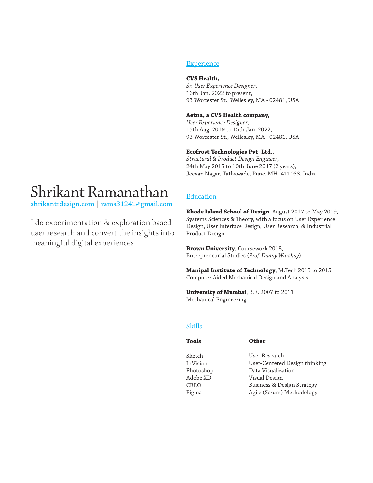# Shrikant Ramanathan

shrikantrdesign.com | rams31241@gmail.com

I do experimentation & exploration based user research and convert the insights into meaningful digital experiences.

## **Experience**

#### **CVS Health ,**

*Sr. User Experience Designer*, 16th Jan. 2022 to present, 93 Worcester St., Wellesley, MA - 02481, USA

#### **Aetna, a CVS Health company,**

*User Experience Designer*, 15th Aug. 2019 to 15th Jan. 2022, 93 Worcester St., Wellesley, MA - 02481, USA

### **Ecofrost Technologies Pvt. Ltd.**,

*Structural & Product Design Engineer*, 24th May 2015 to 10th June 2017 (2 years), Jeevan Nagar, Tathawade, Pune, MH -411033, India

# Education

**Rhode Island School of Design**, August 2017 to May 2019, Systems Sciences & Theory, with a focus on User Experience Design, User Interface Design, User Research, & Industrial Product Design

**Brown University**, Coursework 2018, Entrepreneurial Studies (*Prof. Danny Warshay*)

**Manipal Institute of Technology**, M.Tech 2013 to 2015, Computer Aided Mechanical Design and Analysis

**University of Mumbai**, B.E. 2007 to 2011 Mechanical Engineering

## Skills

#### **Tools**

**Other**

Sketch InVision Photoshop Adobe XD CREO Figma

User Research User-Centered Design thinking Data Visualization Visual Design Business & Design Strategy Agile (Scrum) Methodology